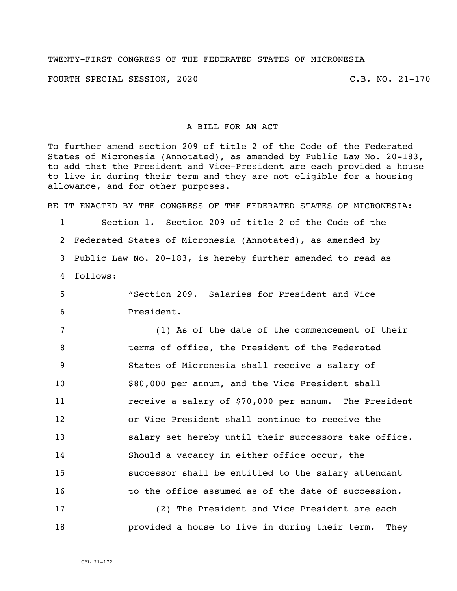## TWENTY-FIRST CONGRESS OF THE FEDERATED STATES OF MICRONESIA

FOURTH SPECIAL SESSION, 2020 C.B. NO. 21-170

## A BILL FOR AN ACT

To further amend section 209 of title 2 of the Code of the Federated States of Micronesia (Annotated), as amended by Public Law No. 20-183, to add that the President and Vice-President are each provided a house to live in during their term and they are not eligible for a housing allowance, and for other purposes.

BE IT ENACTED BY THE CONGRESS OF THE FEDERATED STATES OF MICRONESIA: Section 1. Section 209 of title 2 of the Code of the Federated States of Micronesia (Annotated), as amended by Public Law No. 20-183, is hereby further amended to read as 4 follows: "Section 209. Salaries for President and Vice President. (1) As of the date of the commencement of their terms of office, the President of the Federated States of Micronesia shall receive a salary of \$80,000 per annum, and the Vice President shall **11** receive a salary of \$70,000 per annum. The President or Vice President shall continue to receive the 13 salary set hereby until their successors take office. Should a vacancy in either office occur, the successor shall be entitled to the salary attendant 16 to the office assumed as of the date of succession. (2) The President and Vice President are each provided a house to live in during their term. They